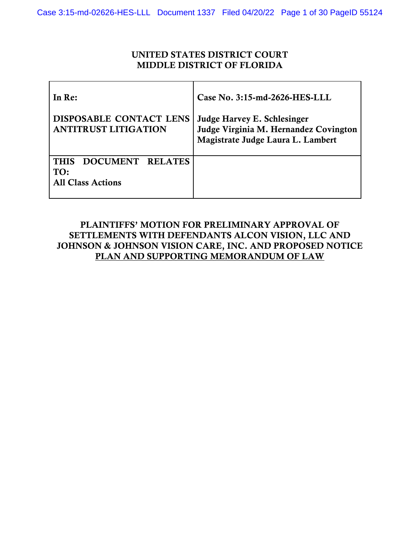## UNITED STATES DISTRICT COURT MIDDLE DISTRICT OF FLORIDA

| In Re:                                                             | Case No. 3:15-md-2626-HES-LLL                                                                             |  |
|--------------------------------------------------------------------|-----------------------------------------------------------------------------------------------------------|--|
| <b>DISPOSABLE CONTACT LENS</b><br><b>ANTITRUST LITIGATION</b>      | Judge Harvey E. Schlesinger<br>Judge Virginia M. Hernandez Covington<br>Magistrate Judge Laura L. Lambert |  |
| DOCUMENT RELATES<br><b>THIS</b><br>TO:<br><b>All Class Actions</b> |                                                                                                           |  |

## PLAINTIFFS' MOTION FOR PRELIMINARY APPROVAL OF SETTLEMENTS WITH DEFENDANTS ALCON VISION, LLC AND JOHNSON & JOHNSON VISION CARE, INC. AND PROPOSED NOTICE PLAN AND SUPPORTING MEMORANDUM OF LAW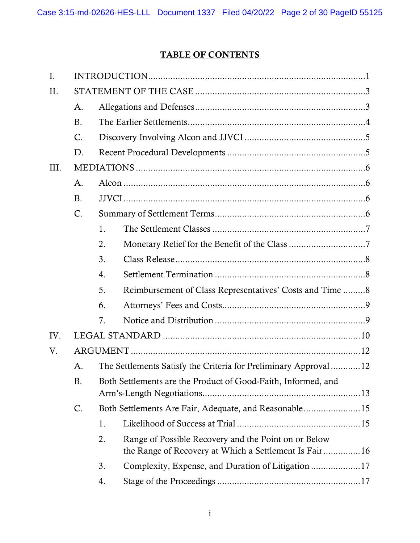# TABLE OF CONTENTS

| Ι.   |               |    |                                                                                                               |  |
|------|---------------|----|---------------------------------------------------------------------------------------------------------------|--|
| П.   |               |    |                                                                                                               |  |
|      | A.            |    |                                                                                                               |  |
|      | <b>B.</b>     |    |                                                                                                               |  |
|      | $\mathsf{C}.$ |    |                                                                                                               |  |
|      | D.            |    |                                                                                                               |  |
| III. |               |    |                                                                                                               |  |
|      | A.            |    |                                                                                                               |  |
|      | B.            |    |                                                                                                               |  |
|      | C.            |    |                                                                                                               |  |
|      |               | 1. |                                                                                                               |  |
|      |               | 2. |                                                                                                               |  |
|      |               | 3. |                                                                                                               |  |
|      |               | 4. |                                                                                                               |  |
|      |               | 5. | Reimbursement of Class Representatives' Costs and Time 8                                                      |  |
|      |               | 6. |                                                                                                               |  |
|      |               | 7. |                                                                                                               |  |
| IV.  |               |    |                                                                                                               |  |
| V.   |               |    |                                                                                                               |  |
|      | A.            |    | The Settlements Satisfy the Criteria for Preliminary Approval12                                               |  |
|      | Β.            |    | Both Settlements are the Product of Good-Faith, Informed, and                                                 |  |
|      | C.            |    | Both Settlements Are Fair, Adequate, and Reasonable15                                                         |  |
|      |               | 1. |                                                                                                               |  |
|      |               | 2. | Range of Possible Recovery and the Point on or Below<br>the Range of Recovery at Which a Settlement Is Fair16 |  |
|      |               | 3. | Complexity, Expense, and Duration of Litigation 17                                                            |  |
|      |               | 4. |                                                                                                               |  |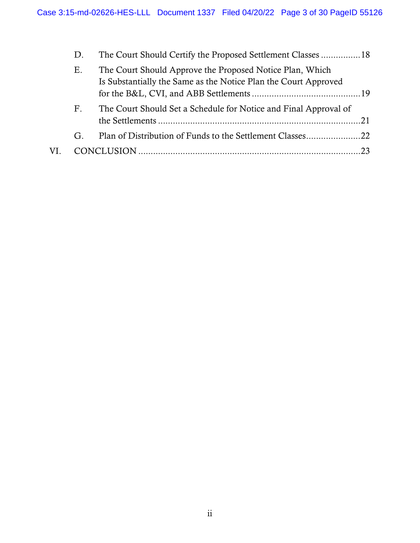|     | D.                          | The Court Should Certify the Proposed Settlement Classes 18                                                                 |  |
|-----|-----------------------------|-----------------------------------------------------------------------------------------------------------------------------|--|
|     | Ε.                          | The Court Should Approve the Proposed Notice Plan, Which<br>Is Substantially the Same as the Notice Plan the Court Approved |  |
|     | $\boldsymbol{\mathrm{F}}$ . | The Court Should Set a Schedule for Notice and Final Approval of                                                            |  |
|     | G.                          |                                                                                                                             |  |
| VI. |                             |                                                                                                                             |  |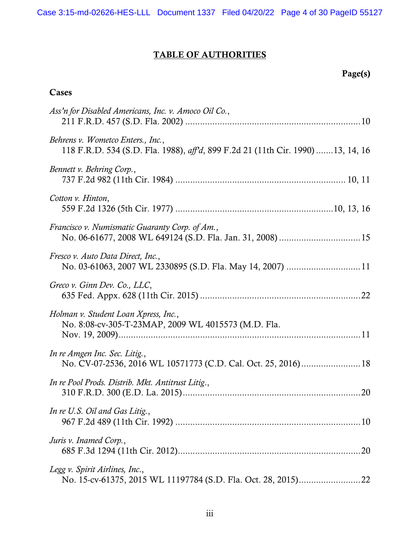# TABLE OF AUTHORITIES

# Page(s)

## Cases

| Ass'n for Disabled Americans, Inc. v. Amoco Oil Co.,                                                                 |
|----------------------------------------------------------------------------------------------------------------------|
| Behrens v. Wometco Enters., Inc.,<br>118 F.R.D. 534 (S.D. Fla. 1988), aff'd, 899 F.2d 21 (11th Cir. 1990) 13, 14, 16 |
| Bennett v. Behring Corp.,                                                                                            |
| Cotton v. Hinton,                                                                                                    |
| Francisco v. Numismatic Guaranty Corp. of Am.,                                                                       |
| Fresco v. Auto Data Direct, Inc.,                                                                                    |
| Greco v. Ginn Dev. Co., LLC,                                                                                         |
| Holman v. Student Loan Xpress, Inc.,<br>No. 8:08-cv-305-T-23MAP, 2009 WL 4015573 (M.D. Fla.                          |
| In re Amgen Inc. Sec. Litig.,                                                                                        |
| In re Pool Prods. Distrib. Mkt. Antitrust Litig.,                                                                    |
| In re U.S. Oil and Gas Litig.                                                                                        |
| Juris v. Inamed Corp.,                                                                                               |
| Legg v. Spirit Airlines, Inc.,                                                                                       |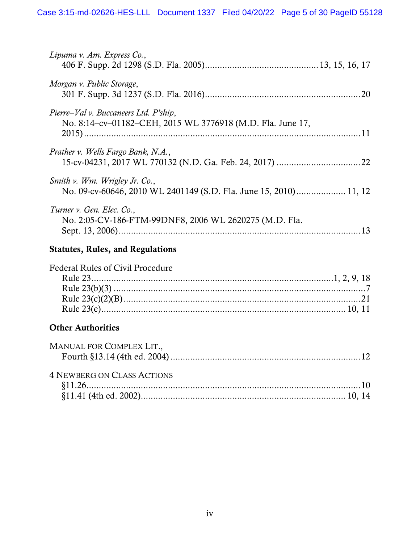| Lipuma v. Am. Express Co.,                                                                          |     |
|-----------------------------------------------------------------------------------------------------|-----|
| Morgan v. Public Storage,                                                                           | .20 |
| Pierre–Val v. Buccaneers Ltd. P'ship,<br>No. 8:14-cv-01182-CEH, 2015 WL 3776918 (M.D. Fla. June 17, |     |
| Prather v. Wells Fargo Bank, N.A.,                                                                  |     |
| Smith v. Wm. Wrigley Jr. Co.,                                                                       |     |
| Turner v. Gen. Elec. Co.,<br>No. 2:05-CV-186-FTM-99DNF8, 2006 WL 2620275 (M.D. Fla.                 | 13  |

## Statutes, Rules, and Regulations

| <b>Federal Rules of Civil Procedure</b> |  |
|-----------------------------------------|--|
|                                         |  |
|                                         |  |
|                                         |  |
|                                         |  |

## **Other Authorities**

| MANUAL FOR COMPLEX LIT.,          |  |
|-----------------------------------|--|
|                                   |  |
|                                   |  |
| <b>4 NEWBERG ON CLASS ACTIONS</b> |  |
|                                   |  |
|                                   |  |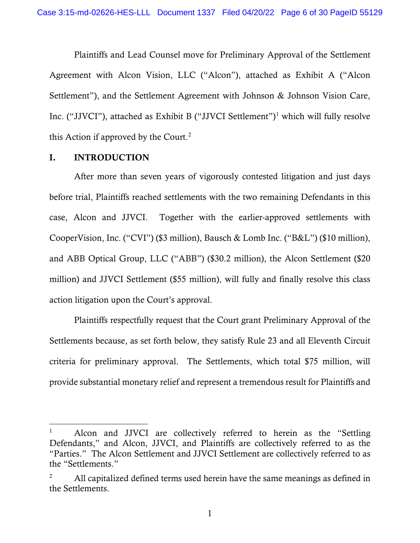Plaintiffs and Lead Counsel move for Preliminary Approval of the Settlement Agreement with Alcon Vision, LLC ("Alcon"), attached as Exhibit A ("Alcon Settlement"), and the Settlement Agreement with Johnson & Johnson Vision Care, Inc. ("JJVCI"), attached as Exhibit B ("JJVCI Settlement") [1](#page-5-2) which will fully resolve this Action if approved by the Court. [2](#page-5-3)

### <span id="page-5-0"></span>I. INTRODUCTION

After more than seven years of vigorously contested litigation and just days before trial, Plaintiffs reached settlements with the two remaining Defendants in this case, Alcon and JJVCI. Together with the earlier-approved settlements with CooperVision, Inc. ("CVI") (\$3 million), Bausch & Lomb Inc. ("B&L") (\$10 million), and ABB Optical Group, LLC ("ABB") (\$30.2 million), the Alcon Settlement (\$20 million) and JJVCI Settlement (\$55 million), will fully and finally resolve this class action litigation upon the Court's approval.

<span id="page-5-1"></span>Plaintiffs respectfully request that the Court grant Preliminary Approval of the Settlements because, as set forth below, they satisfy Rule 23 and all Eleventh Circuit criteria for preliminary approval. The Settlements, which total \$75 million, will provide substantial monetary relief and represent a tremendous result for Plaintiffs and

<span id="page-5-2"></span><sup>&</sup>lt;sup>1</sup> Alcon and JJVCI are collectively referred to herein as the "Settling" Defendants," and Alcon, JJVCI, and Plaintiffs are collectively referred to as the "Parties." The Alcon Settlement and JJVCI Settlement are collectively referred to as the "Settlements."

<span id="page-5-3"></span><sup>&</sup>lt;sup>2</sup> All capitalized defined terms used herein have the same meanings as defined in the Settlements.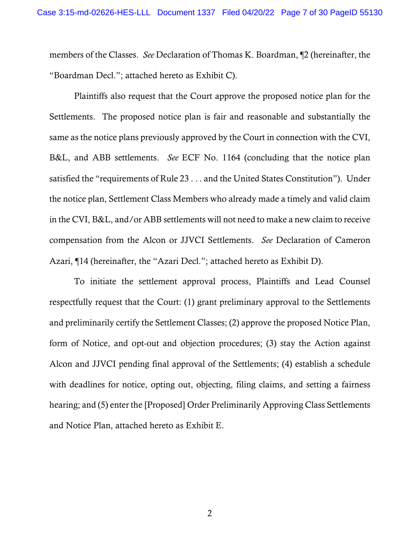members of the Classes. *See* Declaration of Thomas K. Boardman, ¶2 (hereinafter, the "Boardman Decl."; attached hereto as Exhibit C).

<span id="page-6-0"></span>Plaintiffs also request that the Court approve the proposed notice plan for the Settlements. The proposed notice plan is fair and reasonable and substantially the same as the notice plans previously approved by the Court in connection with the CVI, B&L, and ABB settlements. *See* ECF No. 1164 (concluding that the notice plan satisfied the "requirements of Rule 23 . . . and the United States Constitution"). Under the notice plan, Settlement Class Members who already made a timely and valid claim in the CVI, B&L, and/or ABB settlements will not need to make a new claim to receive compensation from the Alcon or JJVCI Settlements. *See* Declaration of Cameron Azari, ¶14 (hereinafter, the "Azari Decl."; attached hereto as Exhibit D).

To initiate the settlement approval process, Plaintiffs and Lead Counsel respectfully request that the Court: (1) grant preliminary approval to the Settlements and preliminarily certify the Settlement Classes; (2) approve the proposed Notice Plan, form of Notice, and opt-out and objection procedures; (3) stay the Action against Alcon and JJVCI pending final approval of the Settlements; (4) establish a schedule with deadlines for notice, opting out, objecting, filing claims, and setting a fairness hearing; and (5) enter the [Proposed] Order Preliminarily Approving Class Settlements and Notice Plan, attached hereto as Exhibit E.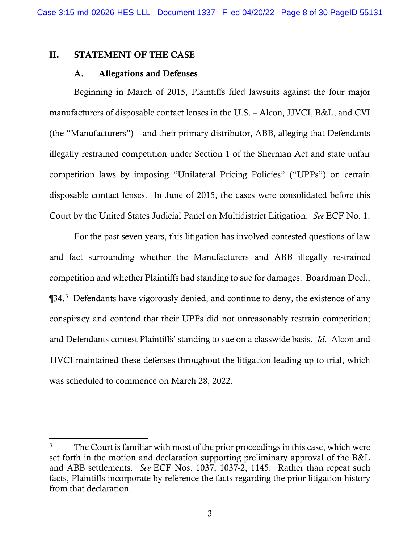## <span id="page-7-1"></span><span id="page-7-0"></span>II. STATEMENT OF THE CASE

#### A. Allegations and Defenses

Beginning in March of 2015, Plaintiffs filed lawsuits against the four major manufacturers of disposable contact lenses in the U.S. ‒ Alcon, JJVCI, B&L, and CVI  $($ the "Manufacturers" $)$  – and their primary distributor, ABB, alleging that Defendants illegally restrained competition under Section 1 of the Sherman Act and state unfair competition laws by imposing "Unilateral Pricing Policies" ("UPPs") on certain disposable contact lenses. In June of 2015, the cases were consolidated before this Court by the United States Judicial Panel on Multidistrict Litigation. *See* ECF No. 1.

For the past seven years, this litigation has involved contested questions of law and fact surrounding whether the Manufacturers and ABB illegally restrained competition and whether Plaintiffs had standing to sue for damages. Boardman Decl., ¶[3](#page-7-2)4.<sup>3</sup> Defendants have vigorously denied, and continue to deny, the existence of any conspiracy and contend that their UPPs did not unreasonably restrain competition; and Defendants contest Plaintiffs' standing to sue on a classwide basis. *Id*. Alcon and JJVCI maintained these defenses throughout the litigation leading up to trial, which was scheduled to commence on March 28, 2022.

<span id="page-7-2"></span><sup>&</sup>lt;sup>3</sup> The Court is familiar with most of the prior proceedings in this case, which were set forth in the motion and declaration supporting preliminary approval of the B&L and ABB settlements. *See* ECF Nos. 1037, 1037-2, 1145. Rather than repeat such facts, Plaintiffs incorporate by reference the facts regarding the prior litigation history from that declaration.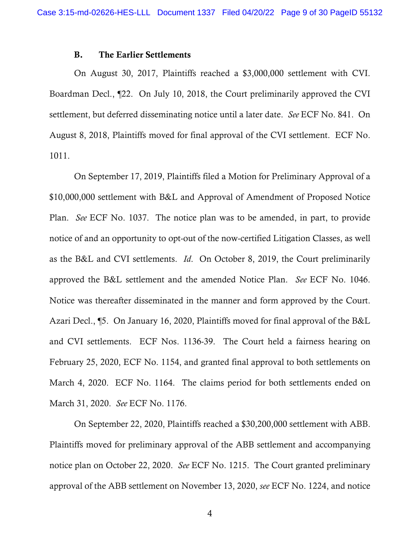#### B. The Earlier Settlements

<span id="page-8-0"></span>On August 30, 2017, Plaintiffs reached a \$3,000,000 settlement with CVI. Boardman Decl., ¶22. On July 10, 2018, the Court preliminarily approved the CVI settlement, but deferred disseminating notice until a later date. *See* ECF No. 841. On August 8, 2018, Plaintiffs moved for final approval of the CVI settlement. ECF No. 1011.

On September 17, 2019, Plaintiffs filed a Motion for Preliminary Approval of a \$10,000,000 settlement with B&L and Approval of Amendment of Proposed Notice Plan. *See* ECF No. 1037. The notice plan was to be amended, in part, to provide notice of and an opportunity to opt-out of the now-certified Litigation Classes, as well as the B&L and CVI settlements. *Id*. On October 8, 2019, the Court preliminarily approved the B&L settlement and the amended Notice Plan. *See* ECF No. 1046. Notice was thereafter disseminated in the manner and form approved by the Court. Azari Decl., ¶5. On January 16, 2020, Plaintiffs moved for final approval of the B&L and CVI settlements. ECF Nos. 1136-39. The Court held a fairness hearing on February 25, 2020, ECF No. 1154, and granted final approval to both settlements on March 4, 2020. ECF No. 1164. The claims period for both settlements ended on March 31, 2020. *See* ECF No. 1176.

On September 22, 2020, Plaintiffs reached a \$30,200,000 settlement with ABB. Plaintiffs moved for preliminary approval of the ABB settlement and accompanying notice plan on October 22, 2020. *See* ECF No. 1215. The Court granted preliminary approval of the ABB settlement on November 13, 2020, *see* ECF No. 1224, and notice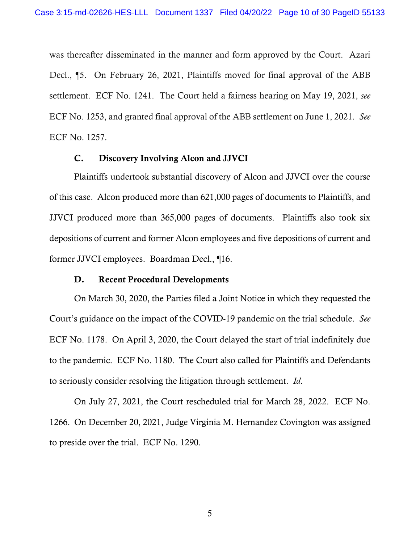was thereafter disseminated in the manner and form approved by the Court. Azari Decl., ¶5. On February 26, 2021, Plaintiffs moved for final approval of the ABB settlement. ECF No. 1241. The Court held a fairness hearing on May 19, 2021, *see*  ECF No. 1253, and granted final approval of the ABB settlement on June 1, 2021. *See*  ECF No. 1257.

#### C. Discovery Involving Alcon and JJVCI

<span id="page-9-0"></span>Plaintiffs undertook substantial discovery of Alcon and JJVCI over the course of this case. Alcon produced more than 621,000 pages of documents to Plaintiffs, and JJVCI produced more than 365,000 pages of documents. Plaintiffs also took six depositions of current and former Alcon employees and five depositions of current and former JJVCI employees. Boardman Decl., ¶16.

#### D. Recent Procedural Developments

<span id="page-9-1"></span>On March 30, 2020, the Parties filed a Joint Notice in which they requested the Court's guidance on the impact of the COVID-19 pandemic on the trial schedule. *See*  ECF No. 1178. On April 3, 2020, the Court delayed the start of trial indefinitely due to the pandemic. ECF No. 1180. The Court also called for Plaintiffs and Defendants to seriously consider resolving the litigation through settlement. *Id*.

On July 27, 2021, the Court rescheduled trial for March 28, 2022. ECF No. 1266. On December 20, 2021, Judge Virginia M. Hernandez Covington was assigned to preside over the trial. ECF No. 1290.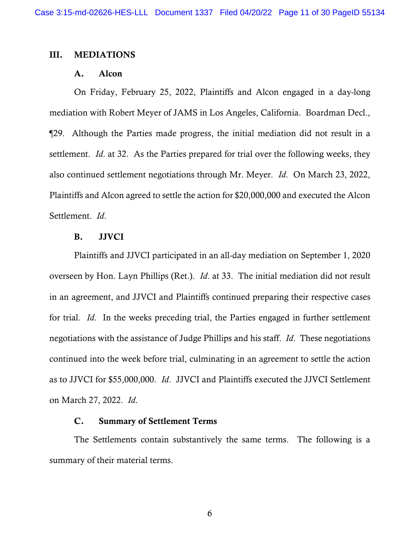#### <span id="page-10-1"></span><span id="page-10-0"></span>III. MEDIATIONS

## A. Alcon

On Friday, February 25, 2022, Plaintiffs and Alcon engaged in a day-long mediation with Robert Meyer of JAMS in Los Angeles, California. Boardman Decl., ¶29. Although the Parties made progress, the initial mediation did not result in a settlement. *Id*. at 32. As the Parties prepared for trial over the following weeks, they also continued settlement negotiations through Mr. Meyer. *Id*. On March 23, 2022, Plaintiffs and Alcon agreed to settle the action for \$20,000,000 and executed the Alcon Settlement. *Id*.

## B. JJVCI

<span id="page-10-2"></span>Plaintiffs and JJVCI participated in an all-day mediation on September 1, 2020 overseen by Hon. Layn Phillips (Ret.). *Id*. at 33. The initial mediation did not result in an agreement, and JJVCI and Plaintiffs continued preparing their respective cases for trial. *Id*. In the weeks preceding trial, the Parties engaged in further settlement negotiations with the assistance of Judge Phillips and his staff. *Id*. These negotiations continued into the week before trial, culminating in an agreement to settle the action as to JJVCI for \$55,000,000. *Id*. JJVCI and Plaintiffs executed the JJVCI Settlement on March 27, 2022. *Id*.

#### C. Summary of Settlement Terms

<span id="page-10-3"></span>The Settlements contain substantively the same terms. The following is a summary of their material terms.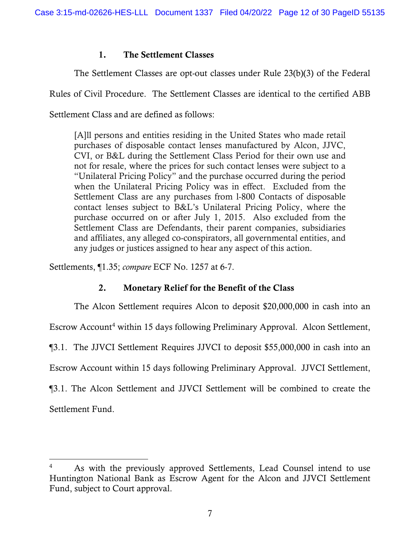## <span id="page-11-2"></span>1. The Settlement Classes

<span id="page-11-0"></span>The Settlement Classes are opt-out classes under Rule 23(b)(3) of the Federal

Rules of Civil Procedure. The Settlement Classes are identical to the certified ABB

Settlement Class and are defined as follows:

[A]ll persons and entities residing in the United States who made retail purchases of disposable contact lenses manufactured by Alcon, JJVC, CVI, or B&L during the Settlement Class Period for their own use and not for resale, where the prices for such contact lenses were subject to a "Unilateral Pricing Policy" and the purchase occurred during the period when the Unilateral Pricing Policy was in effect. Excluded from the Settlement Class are any purchases from l-800 Contacts of disposable contact lenses subject to B&L's Unilateral Pricing Policy, where the purchase occurred on or after July 1, 2015. Also excluded from the Settlement Class are Defendants, their parent companies, subsidiaries and affiliates, any alleged co-conspirators, all governmental entities, and any judges or justices assigned to hear any aspect of this action.

<span id="page-11-1"></span>Settlements, ¶1.35; *compare* ECF No. 1257 at 6-7.

## 2. Monetary Relief for the Benefit of the Class

The Alcon Settlement requires Alcon to deposit \$20,000,000 in cash into an

Escrow Account<sup>[4](#page-11-3)</sup> within 15 days following Preliminary Approval. Alcon Settlement,

¶3.1. The JJVCI Settlement Requires JJVCI to deposit \$55,000,000 in cash into an

Escrow Account within 15 days following Preliminary Approval. JJVCI Settlement,

¶3.1. The Alcon Settlement and JJVCI Settlement will be combined to create the Settlement Fund.

<span id="page-11-3"></span><sup>4</sup> As with the previously approved Settlements, Lead Counsel intend to use Huntington National Bank as Escrow Agent for the Alcon and JJVCI Settlement Fund, subject to Court approval.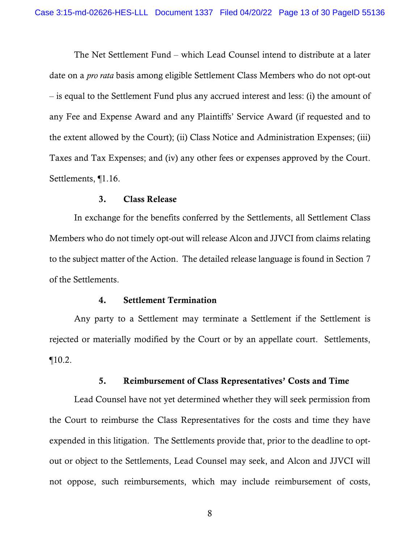The Net Settlement Fund – which Lead Counsel intend to distribute at a later date on a *pro rata* basis among eligible Settlement Class Members who do not opt-out ‒ is equal to the Settlement Fund plus any accrued interest and less: (i) the amount of any Fee and Expense Award and any Plaintiffs' Service Award (if requested and to the extent allowed by the Court); (ii) Class Notice and Administration Expenses; (iii) Taxes and Tax Expenses; and (iv) any other fees or expenses approved by the Court. Settlements, ¶1.16.

## 3. Class Release

<span id="page-12-0"></span>In exchange for the benefits conferred by the Settlements, all Settlement Class Members who do not timely opt-out will release Alcon and JJVCI from claims relating to the subject matter of the Action. The detailed release language is found in Section 7 of the Settlements.

#### 4. Settlement Termination

<span id="page-12-1"></span>Any party to a Settlement may terminate a Settlement if the Settlement is rejected or materially modified by the Court or by an appellate court. Settlements,  $\P 10.2.$ 

#### 5. Reimbursement of Class Representatives' Costs and Time

<span id="page-12-2"></span>Lead Counsel have not yet determined whether they will seek permission from the Court to reimburse the Class Representatives for the costs and time they have expended in this litigation. The Settlements provide that, prior to the deadline to optout or object to the Settlements, Lead Counsel may seek, and Alcon and JJVCI will not oppose, such reimbursements, which may include reimbursement of costs,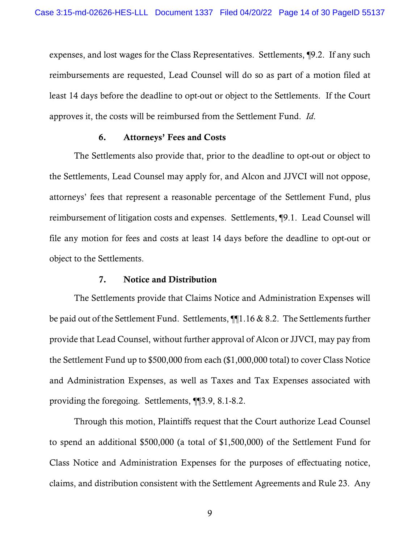expenses, and lost wages for the Class Representatives. Settlements, ¶9.2. If any such reimbursements are requested, Lead Counsel will do so as part of a motion filed at least 14 days before the deadline to opt-out or object to the Settlements. If the Court approves it, the costs will be reimbursed from the Settlement Fund. *Id*.

## 6. Attorneys' Fees and Costs

<span id="page-13-0"></span>The Settlements also provide that, prior to the deadline to opt-out or object to the Settlements, Lead Counsel may apply for, and Alcon and JJVCI will not oppose, attorneys' fees that represent a reasonable percentage of the Settlement Fund, plus reimbursement of litigation costs and expenses. Settlements, ¶9.1. Lead Counsel will file any motion for fees and costs at least 14 days before the deadline to opt-out or object to the Settlements.

#### 7. Notice and Distribution

<span id="page-13-1"></span>The Settlements provide that Claims Notice and Administration Expenses will be paid out of the Settlement Fund. Settlements, ¶¶1.16 & 8.2. The Settlements further provide that Lead Counsel, without further approval of Alcon or JJVCI, may pay from the Settlement Fund up to \$500,000 from each (\$1,000,000 total) to cover Class Notice and Administration Expenses, as well as Taxes and Tax Expenses associated with providing the foregoing. Settlements, ¶¶3.9, 8.1-8.2.

<span id="page-13-2"></span>Through this motion, Plaintiffs request that the Court authorize Lead Counsel to spend an additional \$500,000 (a total of \$1,500,000) of the Settlement Fund for Class Notice and Administration Expenses for the purposes of effectuating notice, claims, and distribution consistent with the Settlement Agreements and Rule 23. Any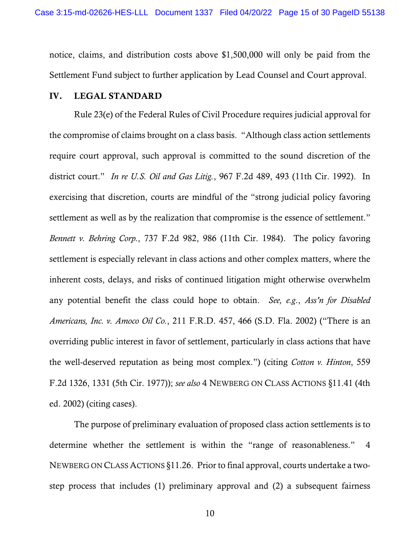notice, claims, and distribution costs above \$1,500,000 will only be paid from the Settlement Fund subject to further application by Lead Counsel and Court approval.

### <span id="page-14-0"></span>IV. LEGAL STANDARD

<span id="page-14-4"></span><span id="page-14-3"></span><span id="page-14-2"></span>Rule 23(e) of the Federal Rules of Civil Procedure requires judicial approval for the compromise of claims brought on a class basis. "Although class action settlements require court approval, such approval is committed to the sound discretion of the district court." *In re U.S. Oil and Gas Litig.*, 967 F.2d 489, 493 (11th Cir. 1992). In exercising that discretion, courts are mindful of the "strong judicial policy favoring settlement as well as by the realization that compromise is the essence of settlement." *Bennett v. Behring Corp.*, 737 F.2d 982, 986 (11th Cir. 1984). The policy favoring settlement is especially relevant in class actions and other complex matters, where the inherent costs, delays, and risks of continued litigation might otherwise overwhelm any potential benefit the class could hope to obtain. *See, e.g*., *Ass'n for Disabled Americans, Inc. v. Amoco Oil Co.*, 211 F.R.D. 457, 466 (S.D. Fla. 2002) ("There is an overriding public interest in favor of settlement, particularly in class actions that have the well-deserved reputation as being most complex.") (citing *Cotton v. Hinton*, 559 F.2d 1326, 1331 (5th Cir. 1977)); *see also* 4 NEWBERG ON CLASS ACTIONS §11.41 (4th ed. 2002) (citing cases).

<span id="page-14-6"></span><span id="page-14-5"></span><span id="page-14-1"></span>The purpose of preliminary evaluation of proposed class action settlements is to determine whether the settlement is within the "range of reasonableness." 4 NEWBERG ON CLASS ACTIONS §11.26. Prior to final approval, courts undertake a twostep process that includes (1) preliminary approval and (2) a subsequent fairness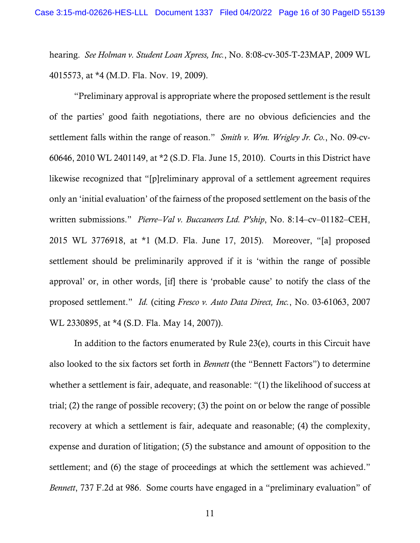<span id="page-15-1"></span>hearing. *See Holman v. Student Loan Xpress, Inc.*, No. 8:08-cv-305-T-23MAP, 2009 WL 4015573, at \*4 (M.D. Fla. Nov. 19, 2009).

<span id="page-15-3"></span><span id="page-15-2"></span>"Preliminary approval is appropriate where the proposed settlement is the result of the parties' good faith negotiations, there are no obvious deficiencies and the settlement falls within the range of reason." *Smith v. Wm. Wrigley Jr. Co.*, No. 09-cv-60646, 2010 WL 2401149, at \*2 (S.D. Fla. June 15, 2010). Courts in this District have likewise recognized that "[p]reliminary approval of a settlement agreement requires only an 'initial evaluation' of the fairness of the proposed settlement on the basis of the written submissions." *Pierre–Val v. Buccaneers Ltd. P'ship*, No. 8:14–cv–01182–CEH, 2015 WL 3776918, at \*1 (M.D. Fla. June 17, 2015). Moreover, "[a] proposed settlement should be preliminarily approved if it is 'within the range of possible approval' or, in other words, [if] there is 'probable cause' to notify the class of the proposed settlement." *Id.* (citing *Fresco v. Auto Data Direct, Inc.*, No. 03-61063, 2007 WL 2330895, at \*4 (S.D. Fla. May 14, 2007)).

<span id="page-15-4"></span><span id="page-15-0"></span>In addition to the factors enumerated by Rule 23(e), courts in this Circuit have also looked to the six factors set forth in *Bennett* (the "Bennett Factors") to determine whether a settlement is fair, adequate, and reasonable: "(1) the likelihood of success at trial; (2) the range of possible recovery; (3) the point on or below the range of possible recovery at which a settlement is fair, adequate and reasonable; (4) the complexity, expense and duration of litigation; (5) the substance and amount of opposition to the settlement; and (6) the stage of proceedings at which the settlement was achieved." *Bennett*, 737 F.2d at 986. Some courts have engaged in a "preliminary evaluation" of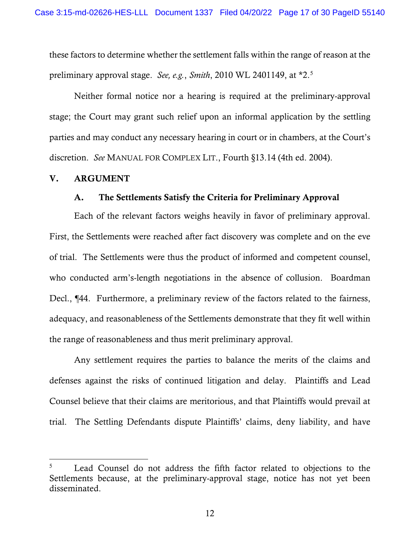<span id="page-16-2"></span>these factors to determine whether the settlement falls within the range of reason at the preliminary approval stage. *See, e.g.*, *Smith*, 2010 WL 2401149, at \*2.[5](#page-16-4)

Neither formal notice nor a hearing is required at the preliminary-approval stage; the Court may grant such relief upon an informal application by the settling parties and may conduct any necessary hearing in court or in chambers, at the Court's discretion. *See* MANUAL FOR COMPLEX LIT., Fourth §13.14 (4th ed. 2004).

### <span id="page-16-1"></span><span id="page-16-0"></span>V. ARGUMENT

## <span id="page-16-3"></span>A. The Settlements Satisfy the Criteria for Preliminary Approval

Each of the relevant factors weighs heavily in favor of preliminary approval. First, the Settlements were reached after fact discovery was complete and on the eve of trial. The Settlements were thus the product of informed and competent counsel, who conducted arm's-length negotiations in the absence of collusion. Boardman Decl.,  $\P{44}$ . Furthermore, a preliminary review of the factors related to the fairness, adequacy, and reasonableness of the Settlements demonstrate that they fit well within the range of reasonableness and thus merit preliminary approval.

Any settlement requires the parties to balance the merits of the claims and defenses against the risks of continued litigation and delay. Plaintiffs and Lead Counsel believe that their claims are meritorious, and that Plaintiffs would prevail at trial. The Settling Defendants dispute Plaintiffs' claims, deny liability, and have

<span id="page-16-4"></span><sup>&</sup>lt;sup>5</sup> Lead Counsel do not address the fifth factor related to objections to the Settlements because, at the preliminary-approval stage, notice has not yet been disseminated.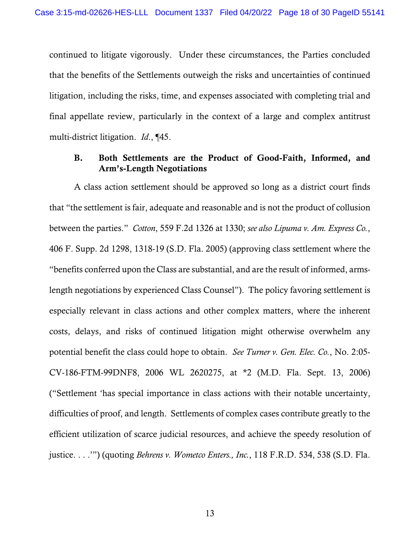continued to litigate vigorously. Under these circumstances, the Parties concluded that the benefits of the Settlements outweigh the risks and uncertainties of continued litigation, including the risks, time, and expenses associated with completing trial and final appellate review, particularly in the context of a large and complex antitrust multi-district litigation. *Id*., ¶45.

## <span id="page-17-2"></span><span id="page-17-1"></span><span id="page-17-0"></span>B. Both Settlements are the Product of Good-Faith, Informed, and Arm's-Length Negotiations

<span id="page-17-3"></span>A class action settlement should be approved so long as a district court finds that "the settlement is fair, adequate and reasonable and is not the product of collusion between the parties." *Cotton*, 559 F.2d 1326 at 1330; *see also Lipuma v. Am. Express Co.*, 406 F. Supp. 2d 1298, 1318-19 (S.D. Fla. 2005) (approving class settlement where the "benefits conferred upon the Class are substantial, and are the result of informed, armslength negotiations by experienced Class Counsel"). The policy favoring settlement is especially relevant in class actions and other complex matters, where the inherent costs, delays, and risks of continued litigation might otherwise overwhelm any potential benefit the class could hope to obtain. *See Turner v. Gen. Elec. Co.*, No. 2:05- CV-186-FTM-99DNF8, 2006 WL 2620275, at \*2 (M.D. Fla. Sept. 13, 2006) ("Settlement 'has special importance in class actions with their notable uncertainty, difficulties of proof, and length. Settlements of complex cases contribute greatly to the efficient utilization of scarce judicial resources, and achieve the speedy resolution of justice. . . .'") (quoting *Behrens v. Wometco Enters., Inc.*, 118 F.R.D. 534, 538 (S.D. Fla.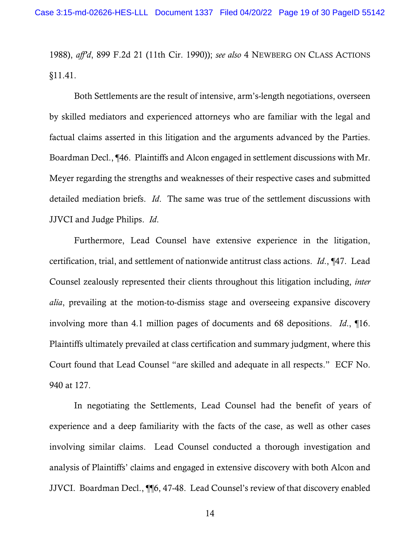1988), *aff'd*, 899 F.2d 21 (11th Cir. 1990)); *see also* 4 NEWBERG ON CLASS ACTIONS §11.41.

Both Settlements are the result of intensive, arm's-length negotiations, overseen by skilled mediators and experienced attorneys who are familiar with the legal and factual claims asserted in this litigation and the arguments advanced by the Parties. Boardman Decl., ¶46. Plaintiffs and Alcon engaged in settlement discussions with Mr. Meyer regarding the strengths and weaknesses of their respective cases and submitted detailed mediation briefs. *Id*. The same was true of the settlement discussions with JJVCI and Judge Philips. *Id*.

Furthermore, Lead Counsel have extensive experience in the litigation, certification, trial, and settlement of nationwide antitrust class actions. *Id*., ¶47. Lead Counsel zealously represented their clients throughout this litigation including, *inter alia*, prevailing at the motion-to-dismiss stage and overseeing expansive discovery involving more than 4.1 million pages of documents and 68 depositions. *Id*., ¶16. Plaintiffs ultimately prevailed at class certification and summary judgment, where this Court found that Lead Counsel "are skilled and adequate in all respects." ECF No. 940 at 127.

In negotiating the Settlements, Lead Counsel had the benefit of years of experience and a deep familiarity with the facts of the case, as well as other cases involving similar claims. Lead Counsel conducted a thorough investigation and analysis of Plaintiffs' claims and engaged in extensive discovery with both Alcon and JJVCI. Boardman Decl., ¶¶6, 47-48. Lead Counsel's review of that discovery enabled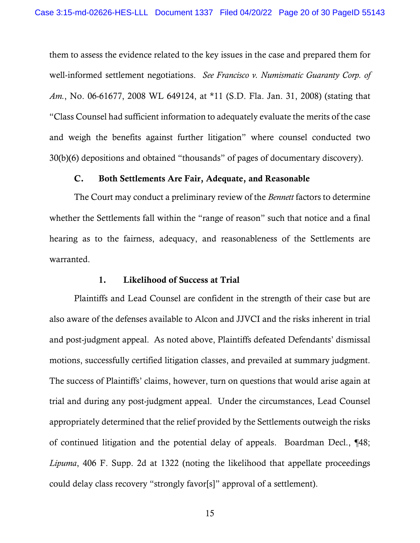<span id="page-19-2"></span>them to assess the evidence related to the key issues in the case and prepared them for well-informed settlement negotiations. *See Francisco v. Numismatic Guaranty Corp. of Am.*, No. 06-61677, 2008 WL 649124, at \*11 (S.D. Fla. Jan. 31, 2008) (stating that "Class Counsel had sufficient information to adequately evaluate the merits of the case and weigh the benefits against further litigation" where counsel conducted two 30(b)(6) depositions and obtained "thousands" of pages of documentary discovery).

## C. Both Settlements Are Fair, Adequate, and Reasonable

<span id="page-19-0"></span>The Court may conduct a preliminary review of the *Bennett* factors to determine whether the Settlements fall within the "range of reason" such that notice and a final hearing as to the fairness, adequacy, and reasonableness of the Settlements are warranted.

## 1. Likelihood of Success at Trial

<span id="page-19-3"></span><span id="page-19-1"></span>Plaintiffs and Lead Counsel are confident in the strength of their case but are also aware of the defenses available to Alcon and JJVCI and the risks inherent in trial and post-judgment appeal. As noted above, Plaintiffs defeated Defendants' dismissal motions, successfully certified litigation classes, and prevailed at summary judgment. The success of Plaintiffs' claims, however, turn on questions that would arise again at trial and during any post-judgment appeal. Under the circumstances, Lead Counsel appropriately determined that the relief provided by the Settlements outweigh the risks of continued litigation and the potential delay of appeals. Boardman Decl., ¶48; *Lipuma*, 406 F. Supp. 2d at 1322 (noting the likelihood that appellate proceedings could delay class recovery "strongly favor[s]" approval of a settlement).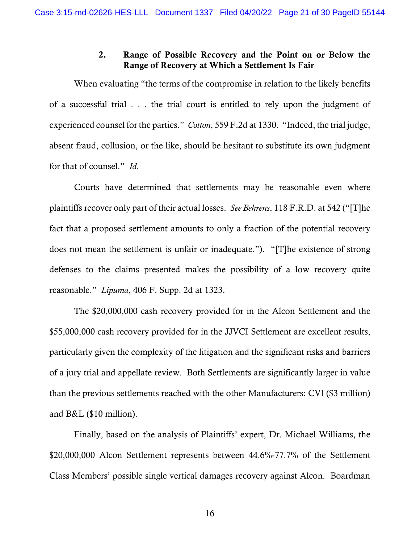## <span id="page-20-2"></span>2. Range of Possible Recovery and the Point on or Below the Range of Recovery at Which a Settlement Is Fair

<span id="page-20-0"></span>When evaluating "the terms of the compromise in relation to the likely benefits of a successful trial . . . the trial court is entitled to rely upon the judgment of experienced counsel for the parties." *Cotton*, 559 F.2d at 1330. "Indeed, the trial judge, absent fraud, collusion, or the like, should be hesitant to substitute its own judgment for that of counsel." *Id*.

<span id="page-20-1"></span>Courts have determined that settlements may be reasonable even where plaintiffs recover only part of their actual losses. *See Behrens*, 118 F.R.D. at 542 ("[T]he fact that a proposed settlement amounts to only a fraction of the potential recovery does not mean the settlement is unfair or inadequate."). "[T]he existence of strong defenses to the claims presented makes the possibility of a low recovery quite reasonable." *Lipuma*, 406 F. Supp. 2d at 1323.

<span id="page-20-3"></span>The \$20,000,000 cash recovery provided for in the Alcon Settlement and the \$55,000,000 cash recovery provided for in the JJVCI Settlement are excellent results, particularly given the complexity of the litigation and the significant risks and barriers of a jury trial and appellate review. Both Settlements are significantly larger in value than the previous settlements reached with the other Manufacturers: CVI (\$3 million) and B&L (\$10 million).

Finally, based on the analysis of Plaintiffs' expert, Dr. Michael Williams, the \$20,000,000 Alcon Settlement represents between 44.6%-77.7% of the Settlement Class Members' possible single vertical damages recovery against Alcon. Boardman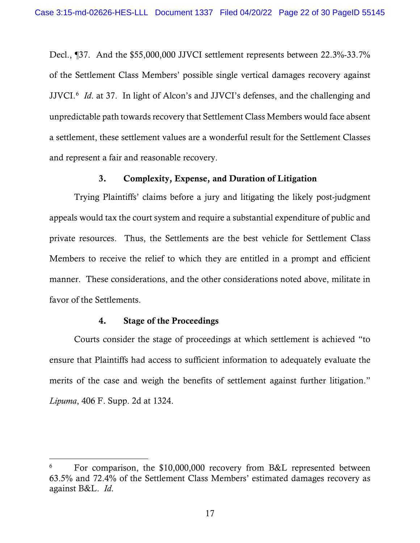Decl., ¶37. And the \$55,000,000 JJVCI settlement represents between 22.3%-33.7% of the Settlement Class Members' possible single vertical damages recovery against JJVCI.[6](#page-21-3) *Id*. at 37. In light of Alcon's and JJVCI's defenses, and the challenging and unpredictable path towards recovery that Settlement Class Members would face absent a settlement, these settlement values are a wonderful result for the Settlement Classes and represent a fair and reasonable recovery.

## 3. Complexity, Expense, and Duration of Litigation

<span id="page-21-0"></span>Trying Plaintiffs' claims before a jury and litigating the likely post-judgment appeals would tax the court system and require a substantial expenditure of public and private resources. Thus, the Settlements are the best vehicle for Settlement Class Members to receive the relief to which they are entitled in a prompt and efficient manner. These considerations, and the other considerations noted above, militate in favor of the Settlements.

#### 4. Stage of the Proceedings

<span id="page-21-2"></span><span id="page-21-1"></span>Courts consider the stage of proceedings at which settlement is achieved "to ensure that Plaintiffs had access to sufficient information to adequately evaluate the merits of the case and weigh the benefits of settlement against further litigation." *Lipuma*, 406 F. Supp. 2d at 1324.

<span id="page-21-3"></span>For comparison, the \$10,000,000 recovery from B&L represented between 63.5% and 72.4% of the Settlement Class Members' estimated damages recovery as against B&L. *Id*.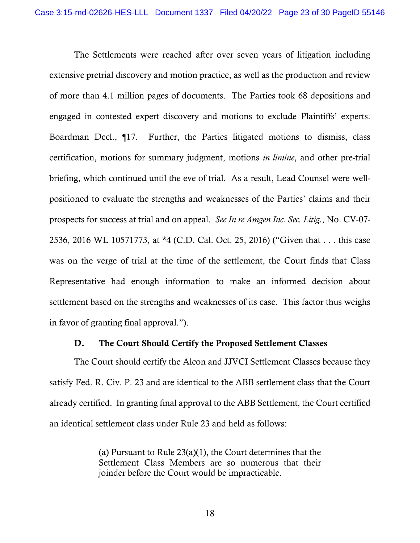The Settlements were reached after over seven years of litigation including extensive pretrial discovery and motion practice, as well as the production and review of more than 4.1 million pages of documents. The Parties took 68 depositions and engaged in contested expert discovery and motions to exclude Plaintiffs' experts. Boardman Decl., ¶17. Further, the Parties litigated motions to dismiss, class certification, motions for summary judgment, motions *in limine*, and other pre-trial briefing, which continued until the eve of trial. As a result, Lead Counsel were wellpositioned to evaluate the strengths and weaknesses of the Parties' claims and their prospects for success at trial and on appeal. *See In re Amgen Inc. Sec. Litig.*, No. CV-07- 2536, 2016 WL 10571773, at \*4 (C.D. Cal. Oct. 25, 2016) ("Given that . . . this case was on the verge of trial at the time of the settlement, the Court finds that Class Representative had enough information to make an informed decision about settlement based on the strengths and weaknesses of its case. This factor thus weighs in favor of granting final approval.").

### <span id="page-22-1"></span>D. The Court Should Certify the Proposed Settlement Classes

<span id="page-22-2"></span><span id="page-22-0"></span>The Court should certify the Alcon and JJVCI Settlement Classes because they satisfy Fed. R. Civ. P. 23 and are identical to the ABB settlement class that the Court already certified. In granting final approval to the ABB Settlement, the Court certified an identical settlement class under Rule 23 and held as follows:

> (a) Pursuant to Rule 23(a)(1), the Court determines that the Settlement Class Members are so numerous that their joinder before the Court would be impracticable.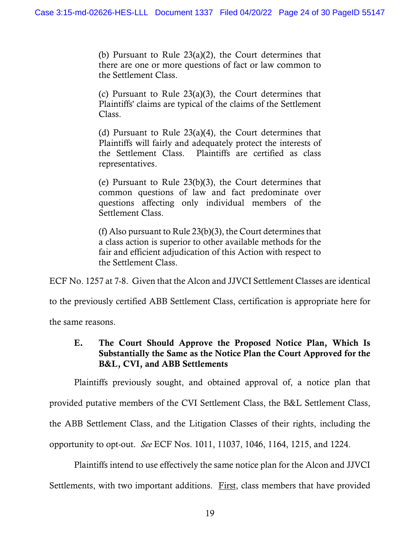(b) Pursuant to Rule 23(a)(2), the Court determines that there are one or more questions of fact or law common to the Settlement Class.

(c) Pursuant to Rule 23(a)(3), the Court determines that Plaintiffs' claims are typical of the claims of the Settlement Class.

(d) Pursuant to Rule  $23(a)(4)$ , the Court determines that Plaintiffs will fairly and adequately protect the interests of the Settlement Class. Plaintiffs are certified as class representatives.

(e) Pursuant to Rule 23(b)(3), the Court determines that common questions of law and fact predominate over questions affecting only individual members of the Settlement Class.

(f) Also pursuant to Rule 23(b)(3), the Court determines that a class action is superior to other available methods for the fair and efficient adjudication of this Action with respect to the Settlement Class.

ECF No. 1257 at 7-8. Given that the Alcon and JJVCI Settlement Classes are identical

to the previously certified ABB Settlement Class, certification is appropriate here for

<span id="page-23-0"></span>the same reasons.

## E. The Court Should Approve the Proposed Notice Plan, Which Is Substantially the Same as the Notice Plan the Court Approved for the B&L, CVI, and ABB Settlements

Plaintiffs previously sought, and obtained approval of, a notice plan that

provided putative members of the CVI Settlement Class, the B&L Settlement Class,

the ABB Settlement Class, and the Litigation Classes of their rights, including the

opportunity to opt-out. *See* ECF Nos. 1011, 11037, 1046, 1164, 1215, and 1224.

Plaintiffs intend to use effectively the same notice plan for the Alcon and JJVCI

Settlements, with two important additions. First, class members that have provided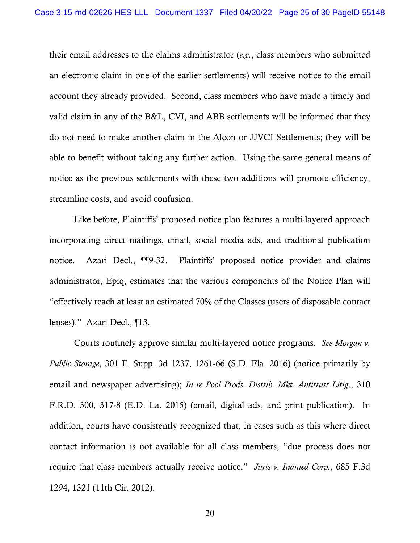their email addresses to the claims administrator (*e.g.*, class members who submitted an electronic claim in one of the earlier settlements) will receive notice to the email account they already provided. Second, class members who have made a timely and valid claim in any of the B&L, CVI, and ABB settlements will be informed that they do not need to make another claim in the Alcon or JJVCI Settlements; they will be able to benefit without taking any further action. Using the same general means of notice as the previous settlements with these two additions will promote efficiency, streamline costs, and avoid confusion.

Like before, Plaintiffs' proposed notice plan features a multi-layered approach incorporating direct mailings, email, social media ads, and traditional publication notice. Azari Decl., ¶¶9-32. Plaintiffs' proposed notice provider and claims administrator, Epiq, estimates that the various components of the Notice Plan will "effectively reach at least an estimated 70% of the Classes (users of disposable contact lenses)." Azari Decl., ¶13.

<span id="page-24-2"></span><span id="page-24-1"></span><span id="page-24-0"></span>Courts routinely approve similar multi-layered notice programs. *See Morgan v. Public Storage*, 301 F. Supp. 3d 1237, 1261-66 (S.D. Fla. 2016) (notice primarily by email and newspaper advertising); *In re Pool Prods. Distrib. Mkt. Antitrust Litig*., 310 F.R.D. 300, 317-8 (E.D. La. 2015) (email, digital ads, and print publication). In addition, courts have consistently recognized that, in cases such as this where direct contact information is not available for all class members, "due process does not require that class members actually receive notice." *Juris v. Inamed Corp.*, 685 F.3d 1294, 1321 (11th Cir. 2012).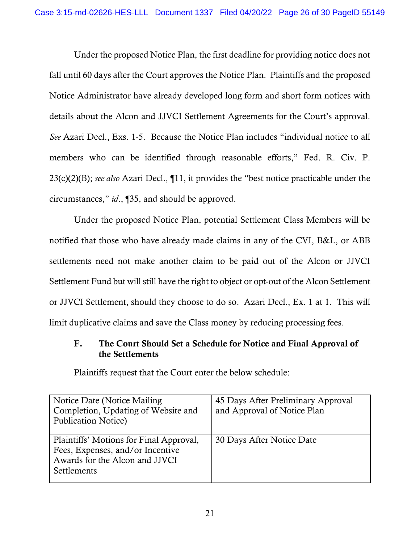Under the proposed Notice Plan, the first deadline for providing notice does not fall until 60 days after the Court approves the Notice Plan. Plaintiffs and the proposed Notice Administrator have already developed long form and short form notices with details about the Alcon and JJVCI Settlement Agreements for the Court's approval. *See* Azari Decl., Exs. 1-5. Because the Notice Plan includes "individual notice to all members who can be identified through reasonable efforts," Fed. R. Civ. P. 23(c)(2)(B); *see also* Azari Decl., ¶11, it provides the "best notice practicable under the circumstances," *id*., ¶35, and should be approved.

<span id="page-25-1"></span>Under the proposed Notice Plan, potential Settlement Class Members will be notified that those who have already made claims in any of the CVI, B&L, or ABB settlements need not make another claim to be paid out of the Alcon or JJVCI Settlement Fund but will still have the right to object or opt-out of the Alcon Settlement or JJVCI Settlement, should they choose to do so. Azari Decl., Ex. 1 at 1. This will limit duplicative claims and save the Class money by reducing processing fees.

## <span id="page-25-0"></span>F. The Court Should Set a Schedule for Notice and Final Approval of the Settlements

Plaintiffs request that the Court enter the below schedule:

| Notice Date (Notice Mailing)<br>Completion, Updating of Website and<br>Publication Notice)                                   | 45 Days After Preliminary Approval<br>and Approval of Notice Plan |
|------------------------------------------------------------------------------------------------------------------------------|-------------------------------------------------------------------|
| Plaintiffs' Motions for Final Approval,<br>Fees, Expenses, and/or Incentive<br>Awards for the Alcon and JJVCI<br>Settlements | 30 Days After Notice Date                                         |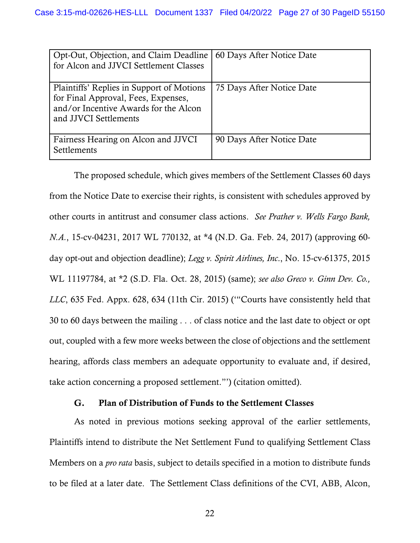| Opt-Out, Objection, and Claim Deadline<br>for Alcon and JJVCI Settlement Classes                                                                   | 60 Days After Notice Date |
|----------------------------------------------------------------------------------------------------------------------------------------------------|---------------------------|
| Plaintiffs' Replies in Support of Motions<br>for Final Approval, Fees, Expenses,<br>and/or Incentive Awards for the Alcon<br>and JJVCI Settlements | 75 Days After Notice Date |
| Fairness Hearing on Alcon and JJVCI<br>Settlements                                                                                                 | 90 Days After Notice Date |

<span id="page-26-3"></span><span id="page-26-2"></span>The proposed schedule, which gives members of the Settlement Classes 60 days from the Notice Date to exercise their rights, is consistent with schedules approved by other courts in antitrust and consumer class actions. *See Prather v. Wells Fargo Bank, N.A.*, 15-cv-04231, 2017 WL 770132, at \*4 (N.D. Ga. Feb. 24, 2017) (approving 60 day opt-out and objection deadline); *Legg v. Spirit Airlines, Inc*., No. 15-cv-61375, 2015 WL 11197784, at \*2 (S.D. Fla. Oct. 28, 2015) (same); *see also Greco v. Ginn Dev. Co., LLC*, 635 Fed. Appx. 628, 634 (11th Cir. 2015) ('"Courts have consistently held that 30 to 60 days between the mailing . . . of class notice and the last date to object or opt out, coupled with a few more weeks between the close of objections and the settlement hearing, affords class members an adequate opportunity to evaluate and, if desired, take action concerning a proposed settlement."') (citation omitted).

## <span id="page-26-1"></span>G. Plan of Distribution of Funds to the Settlement Classes

<span id="page-26-0"></span>As noted in previous motions seeking approval of the earlier settlements, Plaintiffs intend to distribute the Net Settlement Fund to qualifying Settlement Class Members on a *pro rata* basis, subject to details specified in a motion to distribute funds to be filed at a later date. The Settlement Class definitions of the CVI, ABB, Alcon,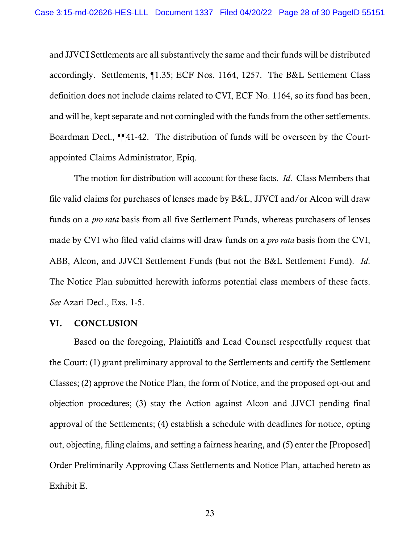and JJVCI Settlements are all substantively the same and their funds will be distributed accordingly. Settlements, ¶1.35; ECF Nos. 1164, 1257. The B&L Settlement Class definition does not include claims related to CVI, ECF No. 1164, so its fund has been, and will be, kept separate and not comingled with the funds from the other settlements. Boardman Decl., ¶¶41-42. The distribution of funds will be overseen by the Courtappointed Claims Administrator, Epiq.

The motion for distribution will account for these facts. *Id*. Class Members that file valid claims for purchases of lenses made by B&L, JJVCI and/or Alcon will draw funds on a *pro rata* basis from all five Settlement Funds, whereas purchasers of lenses made by CVI who filed valid claims will draw funds on a *pro rata* basis from the CVI, ABB, Alcon, and JJVCI Settlement Funds (but not the B&L Settlement Fund). *Id*. The Notice Plan submitted herewith informs potential class members of these facts. *See* Azari Decl., Exs. 1-5.

#### <span id="page-27-0"></span>VI. CONCLUSION

Based on the foregoing, Plaintiffs and Lead Counsel respectfully request that the Court: (1) grant preliminary approval to the Settlements and certify the Settlement Classes; (2) approve the Notice Plan, the form of Notice, and the proposed opt-out and objection procedures; (3) stay the Action against Alcon and JJVCI pending final approval of the Settlements; (4) establish a schedule with deadlines for notice, opting out, objecting, filing claims, and setting a fairness hearing, and (5) enter the [Proposed] Order Preliminarily Approving Class Settlements and Notice Plan, attached hereto as Exhibit E.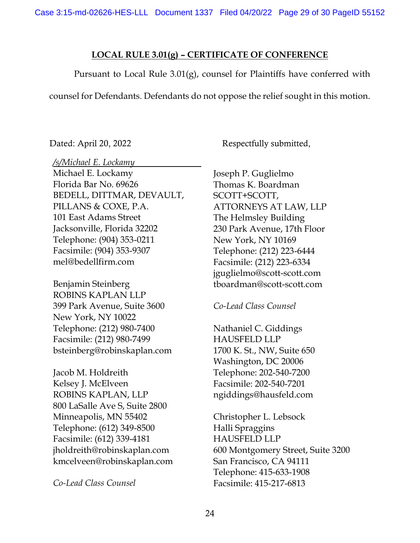## **LOCAL RULE 3.01(g) – CERTIFICATE OF CONFERENCE**

Pursuant to Local Rule 3.01(g), counsel for Plaintiffs have conferred with

counsel for Defendants. Defendants do not oppose the relief sought in this motion.

Dated: April 20, 2022 Respectfully submitted,

*/s/Michael E. Lockamy*

Michael E. Lockamy Florida Bar No. 69626 BEDELL, DITTMAR, DEVAULT, PILLANS & COXE, P.A. 101 East Adams Street Jacksonville, Florida 32202 Telephone: (904) 353-0211 Facsimile: (904) 353-9307 mel@bedellfirm.com

Benjamin Steinberg ROBINS KAPLAN LLP 399 Park Avenue, Suite 3600 New York, NY 10022 Telephone: (212) 980-7400 Facsimile: (212) 980-7499 bsteinberg@robinskaplan.com

Jacob M. Holdreith Kelsey J. McElveen ROBINS KAPLAN, LLP 800 LaSalle Ave S, Suite 2800 Minneapolis, MN 55402 Telephone: (612) 349-8500 Facsimile: (612) 339-4181 jholdreith@robinskaplan.com kmcelveen@robinskaplan.com

*Co-Lead Class Counsel*

Joseph P. Guglielmo Thomas K. Boardman SCOTT+SCOTT, ATTORNEYS AT LAW, LLP The Helmsley Building 230 Park Avenue, 17th Floor New York, NY 10169 Telephone: (212) 223-6444 Facsimile: (212) 223-6334 jguglielmo@scott-scott.com tboardman@scott-scott.com

*Co-Lead Class Counsel* 

Nathaniel C. Giddings HAUSFELD LLP 1700 K. St., NW, Suite 650 Washington, DC 20006 Telephone: 202-540-7200 Facsimile: 202-540-7201 ngiddings@hausfeld.com

Christopher L. Lebsock Halli Spraggins HAUSFELD LLP 600 Montgomery Street, Suite 3200 San Francisco, CA 94111 Telephone: 415-633-1908 Facsimile: 415-217-6813